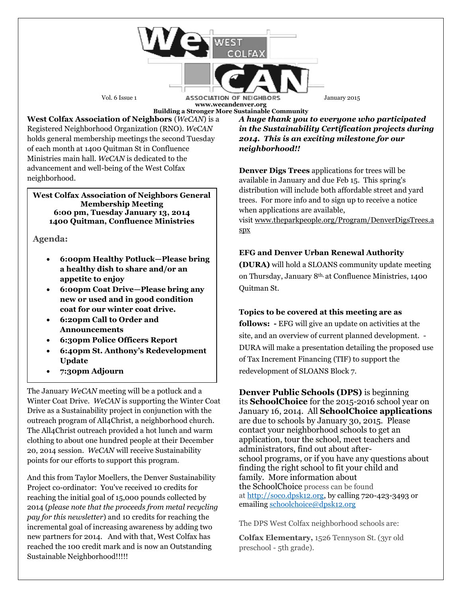Vol. 6 Issue 1 **ASSOCIATION OF NEIGHBORS** January 2015 **www.wecandenver.org Building a Stronger More Sustainable Community**

**West Colfax Association of Neighbors** (*WeCAN*) is a Registered Neighborhood Organization (RNO). *WeCAN*  holds general membership meetings the second Tuesday of each month at 1400 Quitman St in Confluence Ministries main hall. *WeCAN* is dedicated to the advancement and well-being of the West Colfax neighborhood.

#### **West Colfax Association of Neighbors General Membership Meeting 6:00 pm, Tuesday January 13, 2014 1400 Quitman, Confluence Ministries**

## **Agenda:**

- **6:00pm Healthy Potluck—Please bring a healthy dish to share and/or an appetite to enjoy**
- **6:00pm Coat Drive—Please bring any new or used and in good condition coat for our winter coat drive.**
- **6:20pm Call to Order and Announcements**
- **6:30pm Police Officers Report**
- **6:40pm St. Anthony's Redevelopment Update**
- **7:30pm Adjourn**

The January *WeCAN* meeting will be a potluck and a Winter Coat Drive. *WeCAN* is supporting the Winter Coat Drive as a Sustainability project in conjunction with the outreach program of All4Christ, a neighborhood church. The All4Christ outreach provided a hot lunch and warm clothing to about one hundred people at their December 20, 2014 session. *WeCAN* will receive Sustainability points for our efforts to support this program.

And this from Taylor Moellers, the Denver Sustainability Project co-ordinator: You've received 10 credits for reaching the initial goal of 15,000 pounds collected by 2014 (*please note that the proceeds from metal recycling pay for this newsletter*) and 10 credits for reaching the incremental goal of increasing awareness by adding two new partners for 2014. And with that, West Colfax has reached the 100 credit mark and is now an Outstanding Sustainable Neighborhood!!!!!

*A huge thank you to everyone who participated in the Sustainability Certification projects during 2014. This is an exciting milestone for our neighborhood!!*

**Denver Digs Trees** applications for trees will be available in January and due Feb 15. This spring's distribution will include both affordable street and yard trees. For more info and to sign up to receive a notice when applications are available,

visit [www.theparkpeople.org/Program/DenverDigsTrees.a](http://email.robly.com/wf/click?upn=j758Vsu2abmKkCvyYWfdbmayWaxDkLvjGjfzestelHYjDlzHq8dNZEKBBE-2B0VS-2FcGJM-2FcSTuzgIzal4pZVa8GzDilLWzOrOHjVY22uGhcxxUb0oLJ-2BL1eCk0zlaRnJRXQI4RpholPLsz3RGU9qMgRDlu9Q0X9M2LXvxSgmFESX3Lo-2Fw-2BAuwcEFrGEWxumxn-2B5954HDHNcnBkvwjN-2FkcGmg-3D-3D_V3TBL7k8PyGxbNKzgt77gssAocw7HMdwF-2FYte92729S3U0Rn-2FiXjpAtD5xXfO1v43m1FzEqq6HH0O8-2ByXIH1IBbczPWH1o6iYogI4uDpdbBKfBCIqTmlSVlE9cgIRVWAp8hLmOlXheoUkRWh8BXv8qCc8hPUP9cX3FH1cLrRZN2rZ3ofFL8qaMVxq7tb4kf794-2FwyfMg3l-2BEIWx8GIOluP9AmRZrDG-2BQyKLOnvooEREI6Sy6bEFP72wlJy-2BvCSoAy8BnMfKuJSjZZIOKnEvC8JBo-2F7neDI3ChZGydJPH3kuAweJdyxgNcnnRfSCQF9xpbcfk98S9OSJoaObRngC29g-2B3m23wHuFfNiOPwA-2FBZzRIZYp-2FI-2F38cxnpe1oJLTxSWkDc0LLKhhxWMZYuTxQp0-2BQEx-2Bq536JG6KAx5-2Fx3s5IZfgyEQA4r6WOSwnyzDCgo) [spx](http://email.robly.com/wf/click?upn=j758Vsu2abmKkCvyYWfdbmayWaxDkLvjGjfzestelHYjDlzHq8dNZEKBBE-2B0VS-2FcGJM-2FcSTuzgIzal4pZVa8GzDilLWzOrOHjVY22uGhcxxUb0oLJ-2BL1eCk0zlaRnJRXQI4RpholPLsz3RGU9qMgRDlu9Q0X9M2LXvxSgmFESX3Lo-2Fw-2BAuwcEFrGEWxumxn-2B5954HDHNcnBkvwjN-2FkcGmg-3D-3D_V3TBL7k8PyGxbNKzgt77gssAocw7HMdwF-2FYte92729S3U0Rn-2FiXjpAtD5xXfO1v43m1FzEqq6HH0O8-2ByXIH1IBbczPWH1o6iYogI4uDpdbBKfBCIqTmlSVlE9cgIRVWAp8hLmOlXheoUkRWh8BXv8qCc8hPUP9cX3FH1cLrRZN2rZ3ofFL8qaMVxq7tb4kf794-2FwyfMg3l-2BEIWx8GIOluP9AmRZrDG-2BQyKLOnvooEREI6Sy6bEFP72wlJy-2BvCSoAy8BnMfKuJSjZZIOKnEvC8JBo-2F7neDI3ChZGydJPH3kuAweJdyxgNcnnRfSCQF9xpbcfk98S9OSJoaObRngC29g-2B3m23wHuFfNiOPwA-2FBZzRIZYp-2FI-2F38cxnpe1oJLTxSWkDc0LLKhhxWMZYuTxQp0-2BQEx-2Bq536JG6KAx5-2Fx3s5IZfgyEQA4r6WOSwnyzDCgo)

# **EFG and Denver Urban Renewal Authority**

**(DURA)** will hold a SLOANS community update meeting on Thursday, January 8th, at Confluence Ministries, 1400 Quitman St.

### **Topics to be covered at this meeting are as**

**follows: -** EFG will give an update on activities at the site, and an overview of current planned development. - DURA will make a presentation detailing the proposed use of Tax Increment Financing (TIF) to support the redevelopment of SLOANS Block 7.

**Denver Public Schools (DPS)** is beginning its **SchoolChoice** for the 2015-2016 school year on January 16, 2014. All **SchoolChoice applications** are due to schools by January 30, 2015. Please contact your neighborhood schools to get an application, tour the school, meet teachers and administrators, find out about afterschool programs, or if you have any questions about finding the right school to fit your child and family. More information about the SchoolChoice process can be found at [http://soco.dpsk12.org,](http://soco.dpsk12.org/) by calling 720-423-3493 or emailing [schoolchoice@dpsk12.org](mailto:schoolchoice@dpsk12.org)

The DPS West Colfax neighborhood schools are:

**Colfax Elementary,** 1526 Tennyson St. (3yr old preschool - 5th grade).